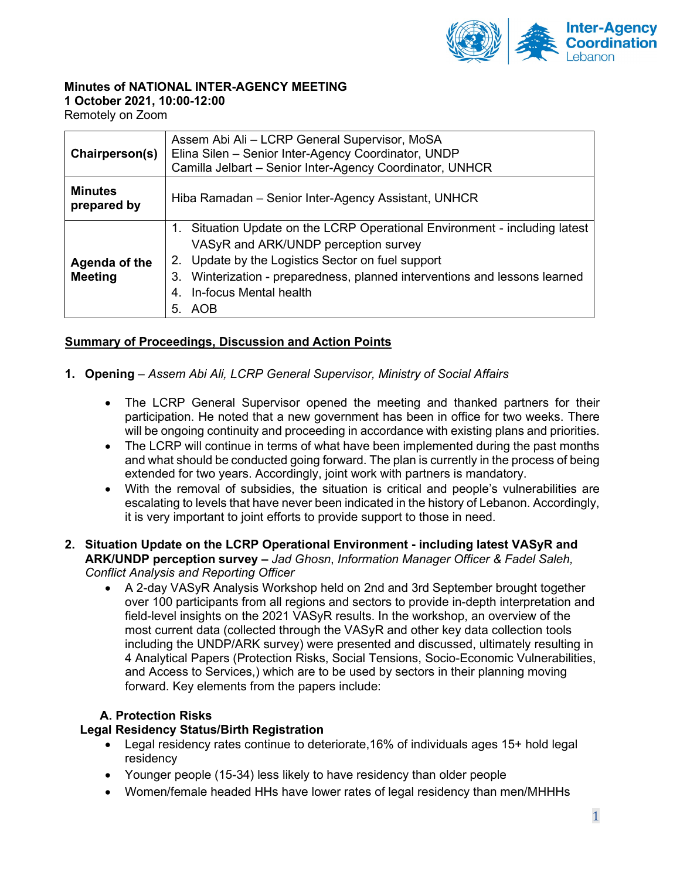

# **Minutes of NATIONAL INTER-AGENCY MEETING**

**1 October 2021, 10:00-12:00**

Remotely on Zoom

| Chairperson(s)                  | Assem Abi Ali - LCRP General Supervisor, MoSA<br>Elina Silen - Senior Inter-Agency Coordinator, UNDP<br>Camilla Jelbart - Senior Inter-Agency Coordinator, UNHCR                                                                                                                                |  |
|---------------------------------|-------------------------------------------------------------------------------------------------------------------------------------------------------------------------------------------------------------------------------------------------------------------------------------------------|--|
| <b>Minutes</b><br>prepared by   | Hiba Ramadan – Senior Inter-Agency Assistant, UNHCR                                                                                                                                                                                                                                             |  |
| Agenda of the<br><b>Meeting</b> | 1. Situation Update on the LCRP Operational Environment - including latest<br>VASyR and ARK/UNDP perception survey<br>2. Update by the Logistics Sector on fuel support<br>3. Winterization - preparedness, planned interventions and lessons learned<br>In-focus Mental health<br>4.<br>5. AOB |  |

# **Summary of Proceedings, Discussion and Action Points**

- **1. Opening** *– Assem Abi Ali, LCRP General Supervisor, Ministry of Social Affairs*
	- The LCRP General Supervisor opened the meeting and thanked partners for their participation. He noted that a new government has been in office for two weeks. There will be ongoing continuity and proceeding in accordance with existing plans and priorities.
	- The LCRP will continue in terms of what have been implemented during the past months and what should be conducted going forward. The plan is currently in the process of being extended for two years. Accordingly, joint work with partners is mandatory.
	- With the removal of subsidies, the situation is critical and people's vulnerabilities are escalating to levels that have never been indicated in the history of Lebanon. Accordingly, it is very important to joint efforts to provide support to those in need.

### **2. Situation Update on the LCRP Operational Environment - including latest VASyR and ARK/UNDP perception survey –** *Jad Ghosn*, *Information Manager Officer & Fadel Saleh, Conflict Analysis and Reporting Officer*

• A 2-day VASyR Analysis Workshop held on 2nd and 3rd September brought together over 100 participants from all regions and sectors to provide in-depth interpretation and field-level insights on the 2021 VASyR results. In the workshop, an overview of the most current data (collected through the VASyR and other key data collection tools including the UNDP/ARK survey) were presented and discussed, ultimately resulting in 4 Analytical Papers (Protection Risks, Social Tensions, Socio-Economic Vulnerabilities, and Access to Services,) which are to be used by sectors in their planning moving forward. Key elements from the papers include:

## **A. Protection Risks**

## **Legal Residency Status/Birth Registration**

- Legal residency rates continue to deteriorate, 16% of individuals ages 15+ hold legal residency
- Younger people (15-34) less likely to have residency than older people
- Women/female headed HHs have lower rates of legal residency than men/MHHHs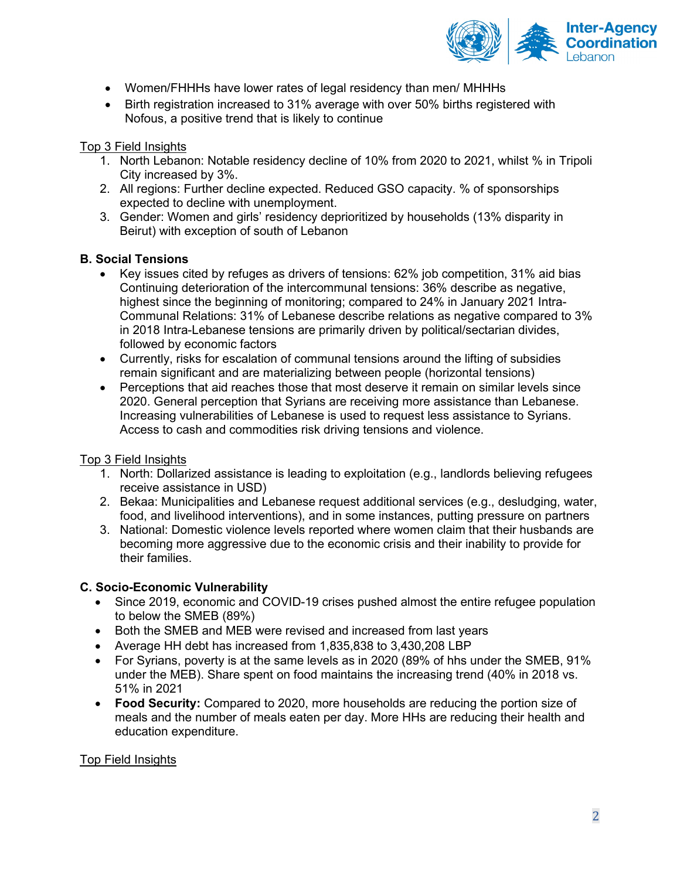

- Women/FHHHs have lower rates of legal residency than men/ MHHHs
- Birth registration increased to 31% average with over 50% births registered with Nofous, a positive trend that is likely to continue

### Top 3 Field Insights

- 1. North Lebanon: Notable residency decline of 10% from 2020 to 2021, whilst % in Tripoli City increased by 3%.
- 2. All regions: Further decline expected. Reduced GSO capacity. % of sponsorships expected to decline with unemployment.
- 3. Gender: Women and girls' residency deprioritized by households (13% disparity in Beirut) with exception of south of Lebanon

### **B. Social Tensions**

- Key issues cited by refuges as drivers of tensions: 62% job competition, 31% aid bias Continuing deterioration of the intercommunal tensions: 36% describe as negative, highest since the beginning of monitoring; compared to 24% in January 2021 Intra-Communal Relations: 31% of Lebanese describe relations as negative compared to 3% in 2018 Intra-Lebanese tensions are primarily driven by political/sectarian divides, followed by economic factors
- Currently, risks for escalation of communal tensions around the lifting of subsidies remain significant and are materializing between people (horizontal tensions)
- Perceptions that aid reaches those that most deserve it remain on similar levels since 2020. General perception that Syrians are receiving more assistance than Lebanese. Increasing vulnerabilities of Lebanese is used to request less assistance to Syrians. Access to cash and commodities risk driving tensions and violence.

### Top 3 Field Insights

- 1. North: Dollarized assistance is leading to exploitation (e.g., landlords believing refugees receive assistance in USD)
- 2. Bekaa: Municipalities and Lebanese request additional services (e.g., desludging, water, food, and livelihood interventions), and in some instances, putting pressure on partners
- 3. National: Domestic violence levels reported where women claim that their husbands are becoming more aggressive due to the economic crisis and their inability to provide for their families.

### **C. Socio-Economic Vulnerability**

- Since 2019, economic and COVID-19 crises pushed almost the entire refugee population to below the SMEB (89%)
- Both the SMEB and MEB were revised and increased from last years
- Average HH debt has increased from 1,835,838 to 3,430,208 LBP
- For Syrians, poverty is at the same levels as in 2020 (89% of hhs under the SMEB, 91% under the MEB). Share spent on food maintains the increasing trend (40% in 2018 vs. 51% in 2021
- **Food Security:** Compared to 2020, more households are reducing the portion size of meals and the number of meals eaten per day. More HHs are reducing their health and education expenditure.

### Top Field Insights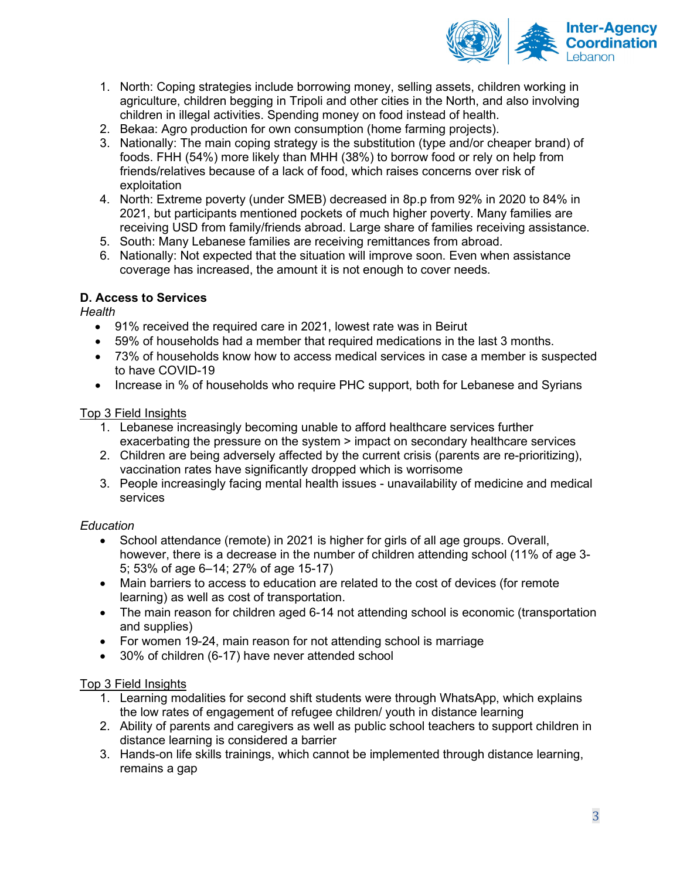

- 1. North: Coping strategies include borrowing money, selling assets, children working in agriculture, children begging in Tripoli and other cities in the North, and also involving children in illegal activities. Spending money on food instead of health.
- 2. Bekaa: Agro production for own consumption (home farming projects).
- 3. Nationally: The main coping strategy is the substitution (type and/or cheaper brand) of foods. FHH (54%) more likely than MHH (38%) to borrow food or rely on help from friends/relatives because of a lack of food, which raises concerns over risk of exploitation
- 4. North: Extreme poverty (under SMEB) decreased in 8p.p from 92% in 2020 to 84% in 2021, but participants mentioned pockets of much higher poverty. Many families are receiving USD from family/friends abroad. Large share of families receiving assistance.
- 5. South: Many Lebanese families are receiving remittances from abroad.
- 6. Nationally: Not expected that the situation will improve soon. Even when assistance coverage has increased, the amount it is not enough to cover needs.

## **D. Access to Services**

*Health* 

- 91% received the required care in 2021, lowest rate was in Beirut
- 59% of households had a member that required medications in the last 3 months.
- 73% of households know how to access medical services in case a member is suspected to have COVID-19
- Increase in % of households who require PHC support, both for Lebanese and Syrians

## Top 3 Field Insights

- 1. Lebanese increasingly becoming unable to afford healthcare services further exacerbating the pressure on the system > impact on secondary healthcare services
- 2. Children are being adversely affected by the current crisis (parents are re-prioritizing), vaccination rates have significantly dropped which is worrisome
- 3. People increasingly facing mental health issues unavailability of medicine and medical services

## *Education*

- School attendance (remote) in 2021 is higher for girls of all age groups. Overall, however, there is a decrease in the number of children attending school (11% of age 3- 5; 53% of age 6–14; 27% of age 15-17)
- Main barriers to access to education are related to the cost of devices (for remote learning) as well as cost of transportation.
- The main reason for children aged 6-14 not attending school is economic (transportation and supplies)
- For women 19-24, main reason for not attending school is marriage
- 30% of children (6-17) have never attended school

## Top 3 Field Insights

- 1. Learning modalities for second shift students were through WhatsApp, which explains the low rates of engagement of refugee children/ youth in distance learning
- 2. Ability of parents and caregivers as well as public school teachers to support children in distance learning is considered a barrier
- 3. Hands-on life skills trainings, which cannot be implemented through distance learning, remains a gap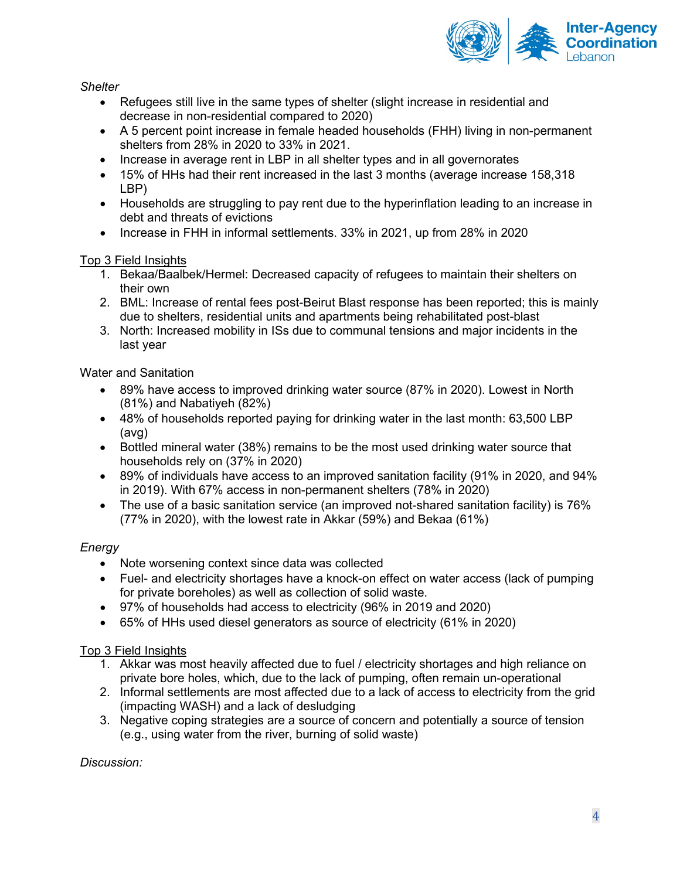

*Shelter* 

- Refugees still live in the same types of shelter (slight increase in residential and decrease in non-residential compared to 2020)
- A 5 percent point increase in female headed households (FHH) living in non-permanent shelters from 28% in 2020 to 33% in 2021.
- Increase in average rent in LBP in all shelter types and in all governorates
- 15% of HHs had their rent increased in the last 3 months (average increase 158,318 LBP)
- Households are struggling to pay rent due to the hyperinflation leading to an increase in debt and threats of evictions
- Increase in FHH in informal settlements. 33% in 2021, up from 28% in 2020

## Top 3 Field Insights

- 1. Bekaa/Baalbek/Hermel: Decreased capacity of refugees to maintain their shelters on their own
- 2. BML: Increase of rental fees post-Beirut Blast response has been reported; this is mainly due to shelters, residential units and apartments being rehabilitated post-blast
- 3. North: Increased mobility in ISs due to communal tensions and major incidents in the last year

Water and Sanitation

- 89% have access to improved drinking water source (87% in 2020). Lowest in North (81%) and Nabatiyeh (82%)
- 48% of households reported paying for drinking water in the last month: 63,500 LBP (avg)
- Bottled mineral water (38%) remains to be the most used drinking water source that households rely on (37% in 2020)
- 89% of individuals have access to an improved sanitation facility (91% in 2020, and 94% in 2019). With 67% access in non-permanent shelters (78% in 2020)
- The use of a basic sanitation service (an improved not-shared sanitation facility) is 76% (77% in 2020), with the lowest rate in Akkar (59%) and Bekaa (61%)

# *Energy*

- Note worsening context since data was collected
- Fuel- and electricity shortages have a knock-on effect on water access (lack of pumping for private boreholes) as well as collection of solid waste.
- 97% of households had access to electricity (96% in 2019 and 2020)
- 65% of HHs used diesel generators as source of electricity (61% in 2020)

# Top 3 Field Insights

- 1. Akkar was most heavily affected due to fuel / electricity shortages and high reliance on private bore holes, which, due to the lack of pumping, often remain un-operational
- 2. Informal settlements are most affected due to a lack of access to electricity from the grid (impacting WASH) and a lack of desludging
- 3. Negative coping strategies are a source of concern and potentially a source of tension (e.g., using water from the river, burning of solid waste)

*Discussion:*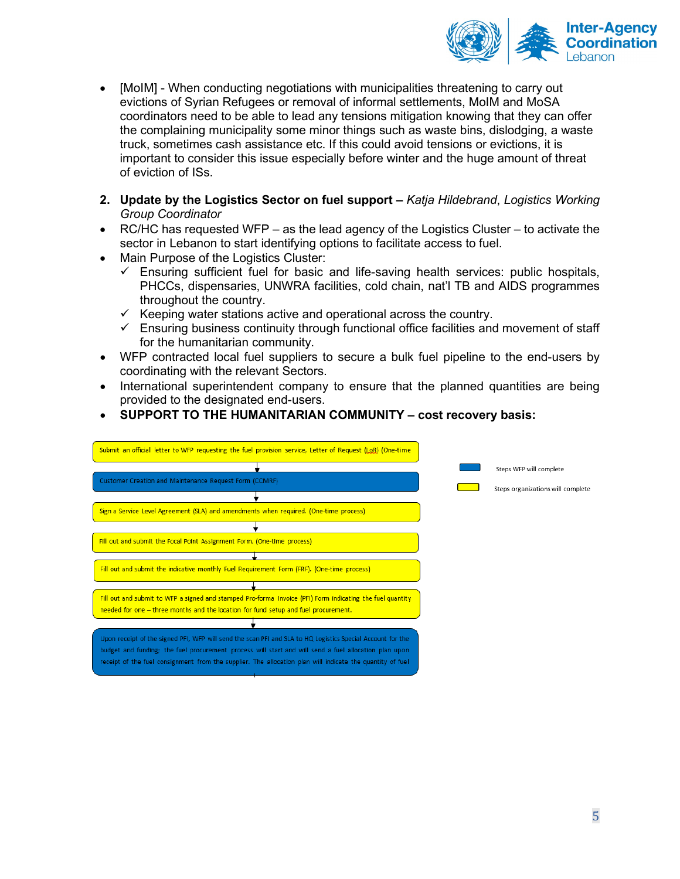

- [MoIM] When conducting negotiations with municipalities threatening to carry out evictions of Syrian Refugees or removal of informal settlements, MoIM and MoSA coordinators need to be able to lead any tensions mitigation knowing that they can offer the complaining municipality some minor things such as waste bins, dislodging, a waste truck, sometimes cash assistance etc. If this could avoid tensions or evictions, it is important to consider this issue especially before winter and the huge amount of threat of eviction of ISs.
- **2. Update by the Logistics Sector on fuel support –** *Katja Hildebrand*, *Logistics Working Group Coordinator*
- RC/HC has requested WFP as the lead agency of the Logistics Cluster to activate the sector in Lebanon to start identifying options to facilitate access to fuel.
- Main Purpose of the Logistics Cluster:
	- $\checkmark$  Ensuring sufficient fuel for basic and life-saving health services: public hospitals, PHCCs, dispensaries, UNWRA facilities, cold chain, nat'l TB and AIDS programmes throughout the country.
	- $\checkmark$  Keeping water stations active and operational across the country.
	- $\checkmark$  Ensuring business continuity through functional office facilities and movement of staff for the humanitarian community.
- WFP contracted local fuel suppliers to secure a bulk fuel pipeline to the end-users by coordinating with the relevant Sectors.
- International superintendent company to ensure that the planned quantities are being provided to the designated end-users.
- **SUPPORT TO THE HUMANITARIAN COMMUNITY – cost recovery basis:**

| Submit an official letter to WFP requesting the fuel provision service, Letter of Request (LQR) (One-time  |                                   |
|------------------------------------------------------------------------------------------------------------|-----------------------------------|
|                                                                                                            | Steps WFP will complete           |
| Customer Creation and Maintenance Request Form (CCMRF)                                                     | Steps organizations will complete |
|                                                                                                            |                                   |
| Sign a Service Level Agreement (SLA) and amendments when required. (One-time process)                      |                                   |
|                                                                                                            |                                   |
| Fill out and submit the Focal Point Assignment Form. (One-time process)                                    |                                   |
|                                                                                                            |                                   |
| Fill out and submit the indicative monthly Fuel Requirement Form (FRF). (One-time process)                 |                                   |
|                                                                                                            |                                   |
| Fill out and submit to WFP a signed and stamped Pro-forma Invoice (PFI) Form indicating the fuel quantity  |                                   |
| needed for one - three months and the location for fund setup and fuel procurement.                        |                                   |
|                                                                                                            |                                   |
| Upon receipt of the signed PFI, WFP will send the scan PFI and SLA to HQ Logistics Special Account for the |                                   |
| budget and funding; the fuel procurement process will start and will send a fuel allocation plan upon      |                                   |
| receipt of the fuel consignment from the supplier. The allocation plan will indicate the quantity of fuel  |                                   |
|                                                                                                            |                                   |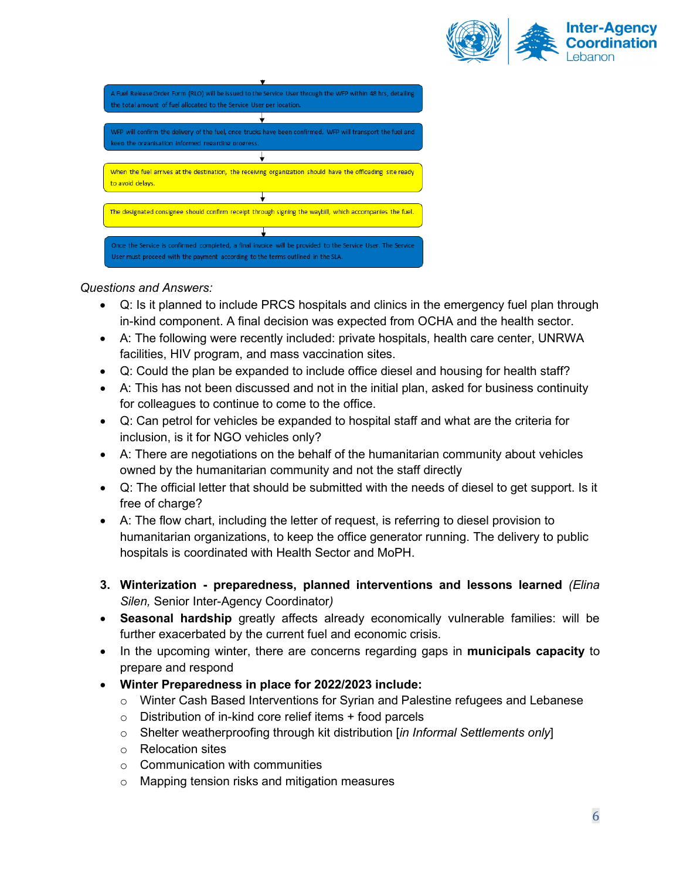



## *Questions and Answers:*

- Q: Is it planned to include PRCS hospitals and clinics in the emergency fuel plan through in-kind component. A final decision was expected from OCHA and the health sector.
- A: The following were recently included: private hospitals, health care center, UNRWA facilities, HIV program, and mass vaccination sites.
- Q: Could the plan be expanded to include office diesel and housing for health staff?
- A: This has not been discussed and not in the initial plan, asked for business continuity for colleagues to continue to come to the office.
- Q: Can petrol for vehicles be expanded to hospital staff and what are the criteria for inclusion, is it for NGO vehicles only?
- A: There are negotiations on the behalf of the humanitarian community about vehicles owned by the humanitarian community and not the staff directly
- Q: The official letter that should be submitted with the needs of diesel to get support. Is it free of charge?
- A: The flow chart, including the letter of request, is referring to diesel provision to humanitarian organizations, to keep the office generator running. The delivery to public hospitals is coordinated with Health Sector and MoPH.
- **3. Winterization - preparedness, planned interventions and lessons learned** *(Elina Silen,* Senior Inter-Agency Coordinator*)*
- **Seasonal hardship** greatly affects already economically vulnerable families: will be further exacerbated by the current fuel and economic crisis.
- In the upcoming winter, there are concerns regarding gaps in **municipals capacity** to prepare and respond
- **Winter Preparedness in place for 2022/2023 include:** 
	- $\circ$  Winter Cash Based Interventions for Syrian and Palestine refugees and Lebanese
	- $\circ$  Distribution of in-kind core relief items + food parcels
	- o Shelter weatherproofing through kit distribution [*in Informal Settlements only*]
	- o Relocation sites
	- $\circ$  Communication with communities
	- o Mapping tension risks and mitigation measures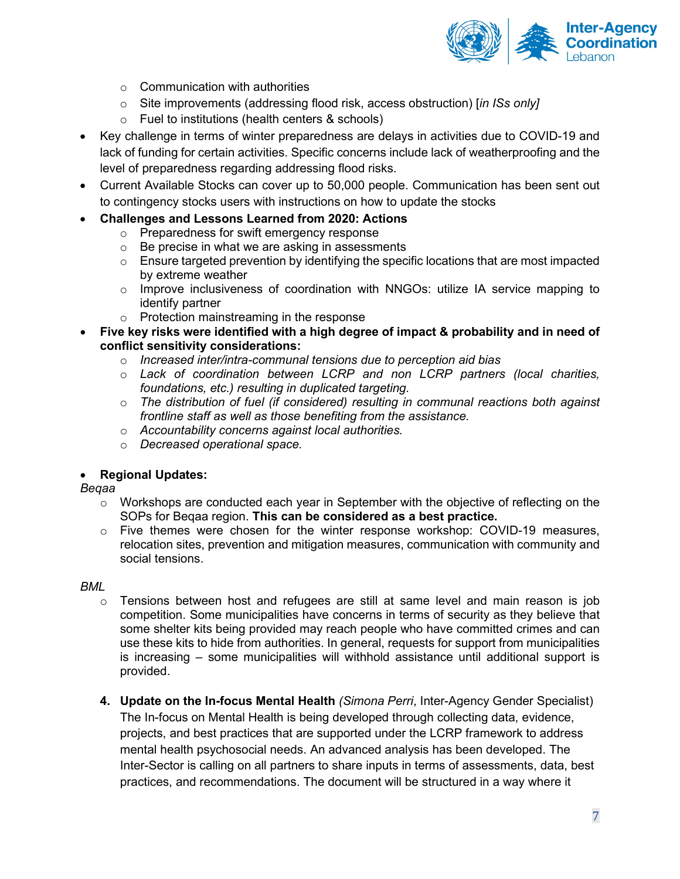

- $\circ$  Communication with authorities
- o Site improvements (addressing flood risk, access obstruction) [*in ISs only]*
- o Fuel to institutions (health centers & schools)
- Key challenge in terms of winter preparedness are delays in activities due to COVID-19 and lack of funding for certain activities. Specific concerns include lack of weatherproofing and the level of preparedness regarding addressing flood risks.
- Current Available Stocks can cover up to 50,000 people. Communication has been sent out to contingency stocks users with instructions on how to update the stocks
- **Challenges and Lessons Learned from 2020: Actions**
	- o Preparedness for swift emergency response
	- o Be precise in what we are asking in assessments
	- $\circ$  Ensure targeted prevention by identifying the specific locations that are most impacted by extreme weather
	- o Improve inclusiveness of coordination with NNGOs: utilize IA service mapping to identify partner
	- o Protection mainstreaming in the response
- **Five key risks were identified with a high degree of impact & probability and in need of conflict sensitivity considerations:**
	- o *Increased inter/intra-communal tensions due to perception aid bias*
	- o *Lack of coordination between LCRP and non LCRP partners (local charities, foundations, etc.) resulting in duplicated targeting.*
	- o *The distribution of fuel (if considered) resulting in communal reactions both against frontline staff as well as those benefiting from the assistance.*
	- o *Accountability concerns against local authorities.*
	- o *Decreased operational space.*

### • **Regional Updates:**

*Beqaa*

- $\circ$  Workshops are conducted each year in September with the objective of reflecting on the SOPs for Beqaa region. **This can be considered as a best practice.**
- $\circ$  Five themes were chosen for the winter response workshop: COVID-19 measures, relocation sites, prevention and mitigation measures, communication with community and social tensions.

### *BML*

- $\circ$  Tensions between host and refugees are still at same level and main reason is job competition. Some municipalities have concerns in terms of security as they believe that some shelter kits being provided may reach people who have committed crimes and can use these kits to hide from authorities. In general, requests for support from municipalities is increasing – some municipalities will withhold assistance until additional support is provided.
- **4. Update on the In-focus Mental Health** *(Simona Perri*, Inter-Agency Gender Specialist) The In-focus on Mental Health is being developed through collecting data, evidence, projects, and best practices that are supported under the LCRP framework to address mental health psychosocial needs. An advanced analysis has been developed. The Inter-Sector is calling on all partners to share inputs in terms of assessments, data, best practices, and recommendations. The document will be structured in a way where it